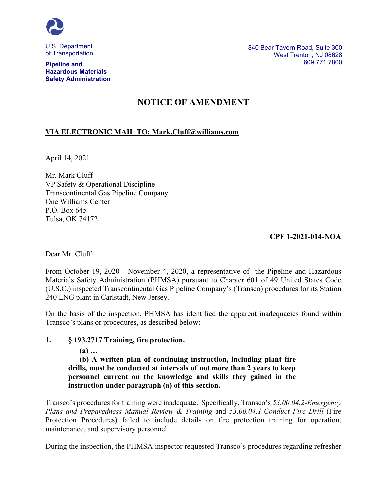

U.S. Department of Transportation

#### **Pipeline and Hazardous Materials Safety Administration**

# **NOTICE OF AMENDMENT**

### **VIA ELECTRONIC MAIL TO: Mark.Cluff@williams.com**

April 14, 2021

Mr. Mark Cluff VP Safety & Operational Discipline Transcontinental Gas Pipeline Company One Williams Center P.O. Box 645 Tulsa, OK 74172

### **CPF 1-2021-014-NOA**

Dear Mr. Cluff:

From October 19, 2020 - November 4, 2020, a representative of the Pipeline and Hazardous Materials Safety Administration (PHMSA) pursuant to Chapter 601 of 49 United States Code (U.S.C.) inspected Transcontinental Gas Pipeline Company's (Transco) procedures for its Station 240 LNG plant in Carlstadt, New Jersey.

On the basis of the inspection, PHMSA has identified the apparent inadequacies found within Transco's plans or procedures, as described below:

### **1. § 193.2717 Training, fire protection.**

**(a) …** 

**(b) A written plan of continuing instruction, including plant fire drills, must be conducted at intervals of not more than 2 years to keep personnel current on the knowledge and skills they gained in the instruction under paragraph (a) of this section.**

Transco's procedures for training were inadequate. Specifically, Transco's *53.00.04.2-Emergency Plans and Preparedness Manual Review & Training* and *53.00.04.1-Conduct Fire Drill* (Fire Protection Procedures) failed to include details on fire protection training for operation, maintenance, and supervisory personnel.

During the inspection, the PHMSA inspector requested Transco's procedures regarding refresher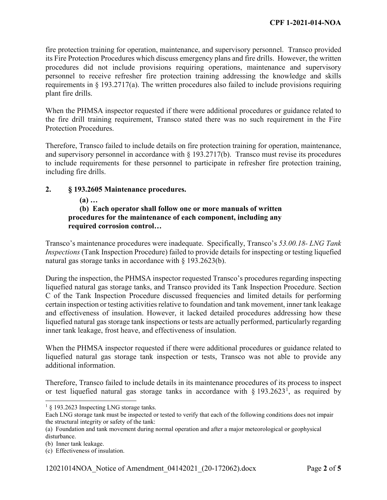fire protection training for operation, maintenance, and supervisory personnel. Transco provided its Fire Protection Procedures which discuss emergency plans and fire drills. However, the written procedures did not include provisions requiring operations, maintenance and supervisory personnel to receive refresher fire protection training addressing the knowledge and skills requirements in  $\S$  193.2717(a). The written procedures also failed to include provisions requiring plant fire drills.

When the PHMSA inspector requested if there were additional procedures or guidance related to the fire drill training requirement, Transco stated there was no such requirement in the Fire Protection Procedures.

Therefore, Transco failed to include details on fire protection training for operation, maintenance, and supervisory personnel in accordance with  $\S$  193.2717(b). Transco must revise its procedures to include requirements for these personnel to participate in refresher fire protection training, including fire drills.

### **2. § 193.2605 Maintenance procedures.**

### **(a) …**

## **(b) Each operator shall follow one or more manuals of written procedures for the maintenance of each component, including any required corrosion control…**

Transco's maintenance procedures were inadequate. Specifically, Transco's *53.00.18- LNG Tank Inspections* (Tank Inspection Procedure) failed to provide details for inspecting or testing liquefied natural gas storage tanks in accordance with § 193.2623(b).

During the inspection, the PHMSA inspector requested Transco's procedures regarding inspecting liquefied natural gas storage tanks, and Transco provided its Tank Inspection Procedure. Section C of the Tank Inspection Procedure discussed frequencies and limited details for performing certain inspection or testing activities relative to foundation and tank movement, inner tank leakage and effectiveness of insulation. However, it lacked detailed procedures addressing how these liquefied natural gas storage tank inspections or tests are actually performed, particularly regarding inner tank leakage, frost heave, and effectiveness of insulation.

When the PHMSA inspector requested if there were additional procedures or guidance related to liquefied natural gas storage tank inspection or tests, Transco was not able to provide any additional information.

Therefore, Transco failed to include details in its maintenance procedures of its process to inspect or test liquefied natural gas storage tanks in accordance with  $\S 193.2623^1$  $\S 193.2623^1$  $\S 193.2623^1$ , as required by

<span id="page-1-0"></span><sup>&</sup>lt;sup>1</sup> § 193.2623 Inspecting LNG storage tanks.

Each LNG storage tank must be inspected or tested to verify that each of the following conditions does not impair the structural integrity or safety of the tank:

<sup>(</sup>a) Foundation and tank movement during normal operation and after a major meteorological or geophysical disturbance.

<sup>(</sup>b) Inner tank leakage.

<sup>(</sup>c) Effectiveness of insulation.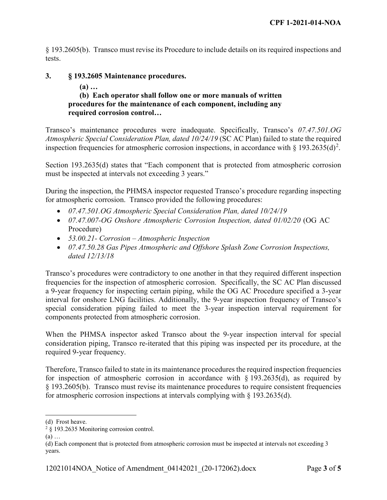§ 193.2605(b). Transco must revise its Procedure to include details on its required inspections and tests.

### **3. § 193.2605 Maintenance procedures.**

### **(a) …**

### **(b) Each operator shall follow one or more manuals of written procedures for the maintenance of each component, including any required corrosion control…**

Transco's maintenance procedures were inadequate. Specifically, Transco's *07.47.501.OG Atmospheric Special Consideration Plan, dated 10/24/19* (SC AC Plan) failed to state the required inspection frequencies for atmospheric corrosion inspections, in accordance with § 193.[2](#page-2-0)635(d)<sup>2</sup>.

Section 193.2635(d) states that "Each component that is protected from atmospheric corrosion must be inspected at intervals not exceeding 3 years."

During the inspection, the PHMSA inspector requested Transco's procedure regarding inspecting for atmospheric corrosion. Transco provided the following procedures:

- *07.47.501.OG Atmospheric Special Consideration Plan, dated 10/24/19*
- *07.47.007-OG Onshore Atmospheric Corrosion Inspection, dated 01/02/20* (OG AC Procedure)
- *53.00.21- Corrosion – Atmospheric Inspection*
- *07.47.50.28 Gas Pipes Atmospheric and Offshore Splash Zone Corrosion Inspections, dated 12/13/18*

Transco's procedures were contradictory to one another in that they required different inspection frequencies for the inspection of atmospheric corrosion. Specifically, the SC AC Plan discussed a 9-year frequency for inspecting certain piping, while the OG AC Procedure specified a 3-year interval for onshore LNG facilities. Additionally, the 9-year inspection frequency of Transco's special consideration piping failed to meet the 3-year inspection interval requirement for components protected from atmospheric corrosion.

When the PHMSA inspector asked Transco about the 9-year inspection interval for special consideration piping, Transco re-iterated that this piping was inspected per its procedure, at the required 9-year frequency.

Therefore, Transco failed to state in its maintenance procedures the required inspection frequencies for inspection of atmospheric corrosion in accordance with  $\S 193.2635(d)$ , as required by § 193.2605(b). Transco must revise its maintenance procedures to require consistent frequencies for atmospheric corrosion inspections at intervals complying with § 193.2635(d).

(a) …

 $\overline{a}$ (d) Frost heave.

<span id="page-2-0"></span><sup>2</sup> § 193.2635 Monitoring corrosion control.

<sup>(</sup>d) Each component that is protected from atmospheric corrosion must be inspected at intervals not exceeding 3 years.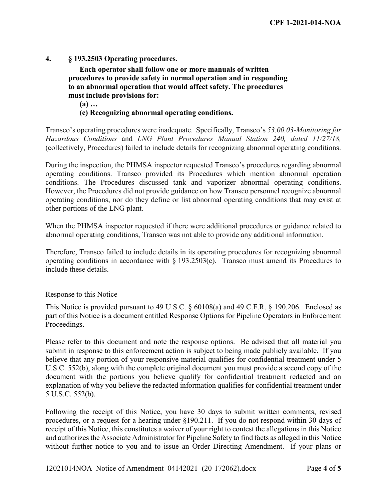**4. § 193.2503 Operating procedures.**

**Each operator shall follow one or more manuals of written procedures to provide safety in normal operation and in responding to an abnormal operation that would affect safety. The procedures must include provisions for:**

**(a) …** 

### **(c) Recognizing abnormal operating conditions.**

Transco's operating procedures were inadequate. Specifically, Transco's *53.00.03-Monitoring for Hazardous Conditions* and *LNG Plant Procedures Manual Station 240, dated 11/27/18,*  (collectively, Procedures) failed to include details for recognizing abnormal operating conditions.

During the inspection, the PHMSA inspector requested Transco's procedures regarding abnormal operating conditions. Transco provided its Procedures which mention abnormal operation conditions. The Procedures discussed tank and vaporizer abnormal operating conditions. However, the Procedures did not provide guidance on how Transco personnel recognize abnormal operating conditions, nor do they define or list abnormal operating conditions that may exist at other portions of the LNG plant.

When the PHMSA inspector requested if there were additional procedures or guidance related to abnormal operating conditions, Transco was not able to provide any additional information.

Therefore, Transco failed to include details in its operating procedures for recognizing abnormal operating conditions in accordance with § 193.2503(c). Transco must amend its Procedures to include these details.

### Response to this Notice

This Notice is provided pursuant to 49 U.S.C. § 60108(a) and 49 C.F.R. § 190.206. Enclosed as part of this Notice is a document entitled Response Options for Pipeline Operators in Enforcement Proceedings.

Please refer to this document and note the response options. Be advised that all material you submit in response to this enforcement action is subject to being made publicly available. If you believe that any portion of your responsive material qualifies for confidential treatment under 5 U.S.C. 552(b), along with the complete original document you must provide a second copy of the document with the portions you believe qualify for confidential treatment redacted and an explanation of why you believe the redacted information qualifies for confidential treatment under 5 U.S.C. 552(b).

Following the receipt of this Notice, you have 30 days to submit written comments, revised procedures, or a request for a hearing under §190.211. If you do not respond within 30 days of receipt of this Notice, this constitutes a waiver of your right to contest the allegations in this Notice and authorizes the Associate Administrator for Pipeline Safety to find facts as alleged in this Notice without further notice to you and to issue an Order Directing Amendment. If your plans or